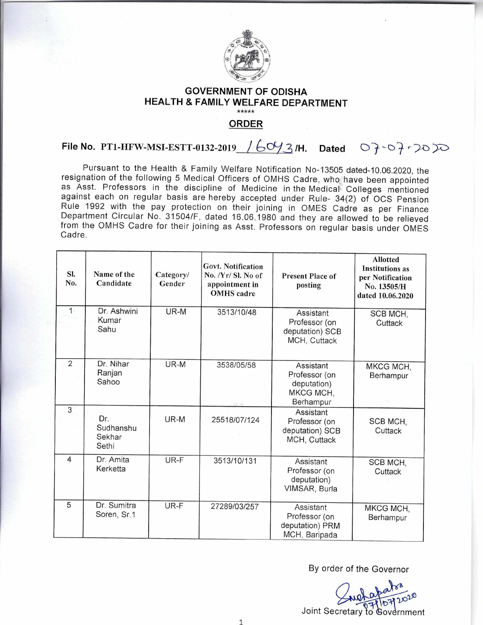

## **GOVERNMENT OF ODISHA HEALTH & FAMILY WELFARE DEPARTMENT**

**ORDER** 

## **File No. PT1-HFW-MSI-ESTT-0132-2019** /60/3/H. Dated 07-07-2020

Pursuant to the Health & Family Welfare Notification No-13505 dated-10.06.2020, the resignation of the following 5 Medical Officers of OMHS Cadre, who have been appointed as Asst. Professors in the discipline of Medicine in the Medical Colleges mentioned against each on regular basis are hereby accepted under Rule- 34(2) of OCS Pension Rule 1992 with the pay protection on their joining in OMES Cadre as per Finance Department Circular No. 31504/F, dated 16.06.1980 and they are allowed to be relieved from the OMHS Cadre for their joining as Asst. Professors on regular basis under OMES Cadre.

| SI.<br>No.     | Name of the<br>Candidate            | Category/<br>Gender | Govt. Notification<br>No. /Yr/ Sl. No of<br>appointment in<br><b>OMHS</b> cadre | <b>Present Place of</b><br>posting                                  | <b>Allotted</b><br><b>Institutions as</b><br>per Notification<br>No. 13505/H<br>dated 10.06.2020 |
|----------------|-------------------------------------|---------------------|---------------------------------------------------------------------------------|---------------------------------------------------------------------|--------------------------------------------------------------------------------------------------|
| $1 -$          | Dr. Ashwini<br>Kumar<br>Sahu        | UR-M                | 3513/10/48                                                                      | Assistant<br>Professor (on<br>deputation) SCB<br>MCH, Cuttack       | SCB MCH,<br>Cuttack                                                                              |
| $\overline{2}$ | Dr. Nihar<br>Ranjan<br>Sahoo        | UR-M                | 3538/05/58                                                                      | Assistant<br>Professor (on<br>deputation)<br>MKCG MCH,<br>Berhampur | MKCG MCH,<br>Berhampur                                                                           |
| $\overline{3}$ | Dr.<br>Sudhanshu<br>Sekhar<br>Sethi | UR-M                | 25518/07/124                                                                    | Assistant<br>Professor (on<br>deputation) SCB<br>MCH, Cuttack       | SCB MCH,<br>Cuttack                                                                              |
| $\overline{4}$ | Dr. Amita<br>Kerketta               | UR-F                | 3513/10/131                                                                     | Assistant<br>Professor (on<br>deputation)<br>VIMSAR, Burla          | SCB MCH.<br>Cuttack                                                                              |
| 5              | Dr. Sumitra<br>Soren, Sr.1          | UR-F                | 27289/03/257                                                                    | Assistant<br>Professor (on<br>deputation) PRM<br>MCH, Baripada      | MKCG MCH,<br>Berhampur                                                                           |

By order of the Governor